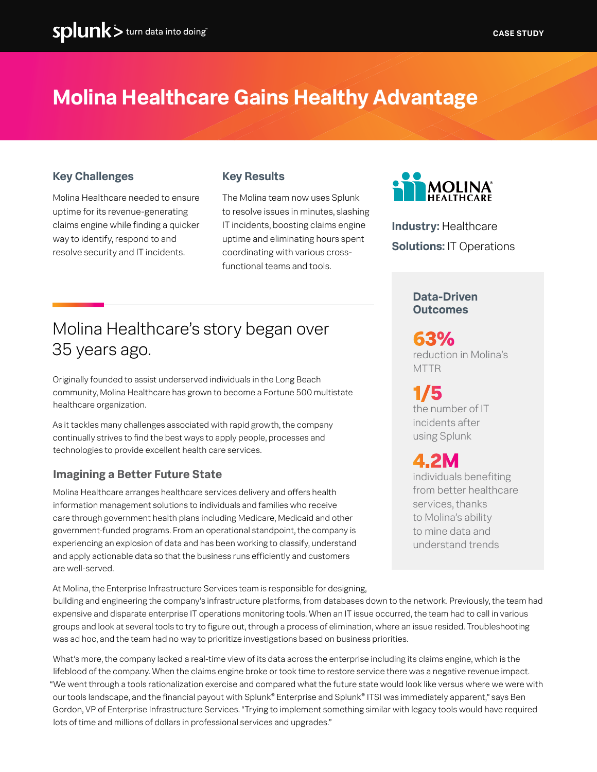# **Molina Healthcare Gains Healthy Advantage**

### **Key Challenges**

Molina Healthcare needed to ensure uptime for its revenue-generating claims engine while finding a quicker way to identify, respond to and resolve security and IT incidents.

### **Key Results**

The Molina team now uses Splunk to resolve issues in minutes, slashing IT incidents, boosting claims engine uptime and eliminating hours spent coordinating with various crossfunctional teams and tools.



**Industry:** Healthcare **Solutions:** IT Operations

#### **Data-Driven Outcomes**

reduction in Molina's MTTR **63%**

the number of IT incidents after using Splunk **1/5**

individuals benefiting from better healthcare services, thanks to Molina's ability to mine data and understand trends **4.2M**

# Molina Healthcare's story began over 35 years ago.

Originally founded to assist underserved individuals in the Long Beach community, Molina Healthcare has grown to become a Fortune 500 multistate healthcare organization.

As it tackles many challenges associated with rapid growth, the company continually strives to find the best ways to apply people, processes and technologies to provide excellent health care services.

### **Imagining a Better Future State**

Molina Healthcare arranges healthcare services delivery and offers health information management solutions to individuals and families who receive care through government health plans including Medicare, Medicaid and other government-funded programs. From an operational standpoint, the company is experiencing an explosion of data and has been working to classify, understand and apply actionable data so that the business runs efficiently and customers are well-served.

At Molina, the Enterprise Infrastructure Services team is responsible for designing, building and engineering the company's infrastructure platforms, from databases down to the network. Previously, the team had expensive and disparate enterprise IT operations monitoring tools. When an IT issue occurred, the team had to call in various groups and look at several tools to try to figure out, through a process of elimination, where an issue resided. Troubleshooting was ad hoc, and the team had no way to prioritize investigations based on business priorities.

What's more, the company lacked a real-time view of its data across the enterprise including its claims engine, which is the lifeblood of the company. When the claims engine broke or took time to restore service there was a negative revenue impact. "We went through a tools rationalization exercise and compared what the future state would look like versus where we were with our tools landscape, and the financial payout with Splunk® Enterprise and Splunk® ITSI was immediately apparent," says Ben Gordon, VP of Enterprise Infrastructure Services. "Trying to implement something similar with legacy tools would have required lots of time and millions of dollars in professional services and upgrades."